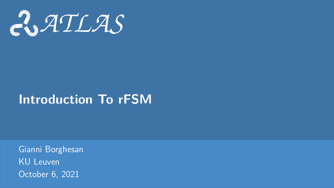<span id="page-0-0"></span>

# **Introduction To rFSM**

Gianni Borghesan KU Leuven October 6, 2021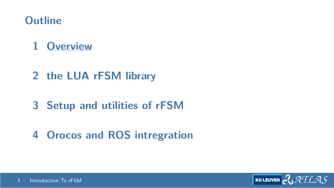## <span id="page-1-0"></span>**Outline**

# **[Overview](#page-1-0)**

- **[the LUA rFSM library](#page-10-0)**
- **[Setup and utilities of rFSM](#page-19-0)**
- **[Orocos and ROS intregration](#page-23-0)**

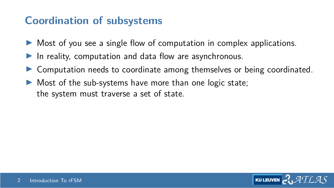## **Coordination of subsystems**

- $\triangleright$  Most of you see a single flow of computation in complex applications.
- In reality, computation and data flow are asynchronous.
- Computation needs to coordinate among themselves or being coordinated.
- Most of the sub-systems have more than one logic state; the system must traverse a set of state.

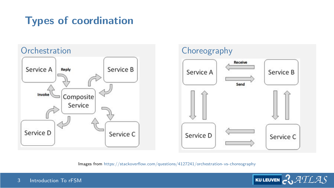# **Types of coordination**





Images from <https://stackoverflow.com/questions/4127241/orchestration-vs-choreography>

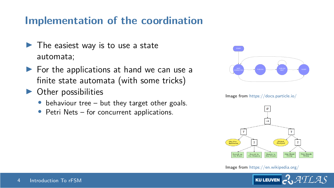#### **Implementation of the coordination**

- $\blacktriangleright$  The easiest way is to use a state automata;
- $\blacktriangleright$  For the applications at hand we can use a finite state automata (with some tricks)
- $\triangleright$  Other possibilities
	- $\bullet$  behaviour tree but they target other goals.
	- Petri Nets for concurrent applications.



Image from [https://docs.particle.io/]( https://docs.particle.io/)



Image from [https://en.wikipedia.org/]( https://en.wikipedia.org/)

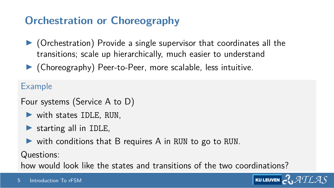# **Orchestration or Choreography**

- $\triangleright$  (Orchestration) Provide a single supervisor that coordinates all the transitions; scale up hierarchically, much easier to understand
- $\blacktriangleright$  (Choreography) Peer-to-Peer, more scalable, less intuitive.

Example

Four systems (Service A to D)

- $\triangleright$  with states IDLE, RUN,
- $\triangleright$  starting all in IDLE,
- $\triangleright$  with conditions that B requires A in RUN to go to RUN.

Questions:

how would look like the states and transitions of the two coordinations?

**KULEUVEN**  $\mathcal{ATLAS}$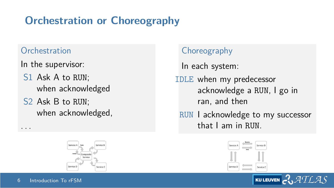# **Orchestration or Choreography**

#### **Orchestration**

In the supervisor:

- S1 Ask A to RUN; when acknowledged
- S2 Ask B to RUN; when acknowledged,



#### Choreography

In each system: IDLE when my predecessor acknowledge a RUN, I go in ran, and then

RUN I acknowledge to my successor that I am in RUN.



**KU LEUVEN** 

ATLAS

. . .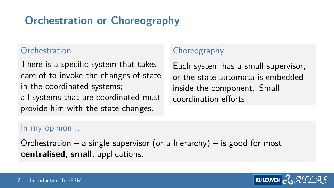# **Orchestration or Choreography**

#### **Orchestration**

There is a specific system that takes care of to invoke the changes of state in the coordinated systems; all systems that are coordinated must provide him with the state changes.

#### **Choreography**

Each system has a small supervisor, or the state automata is embedded inside the component. Small coordination efforts.

#### In my opinion ...

Orchestration – a single supervisor (or a hierarchy) – is good for most **centralised**, **small**, applications.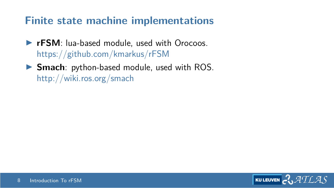## **Finite state machine implementations**

- **FIFAM:** lua-based module, used with Orocoos. <https://github.com/kmarkus/rFSM>
- **Smach**: python-based module, used with ROS. <http://wiki.ros.org/smach>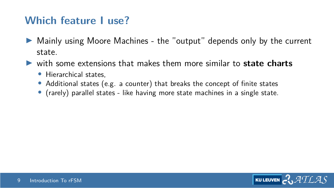#### **Which feature I use?**

- I Mainly using Moore Machines the "output" depends only by the current state.
- with some extensions that makes them more similar to **state charts** 
	- Hierarchical states,
	- Additional states (e.g. a counter) that breaks the concept of finite states
	- (rarely) parallel states like having more state machines in a single state.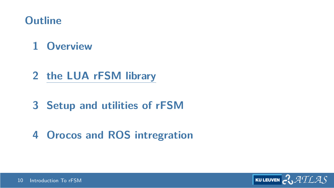## <span id="page-10-0"></span>**Outline**

# **[Overview](#page-1-0)**

- **[the LUA rFSM library](#page-10-0)**
- **[Setup and utilities of rFSM](#page-19-0)**
- **[Orocos and ROS intregration](#page-23-0)**

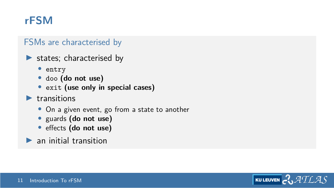## **rFSM**

#### FSMs are characterised by

- $\blacktriangleright$  states; characterised by
	- entry
	- doo **(do not use)**
	- exit **(use only in special cases)**
- $\blacktriangleright$  transitions
	- On a given event, go from a state to another
	- guards **(do not use)**
	- effects **(do not use)**
- $\blacktriangleright$  an initial transition

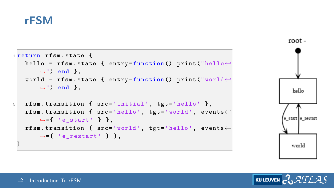#### **rFSM**

```
1 return rfsm . state {
   hello = rfsm . state { entry = function () print (" hello←-
       ,→") end } ,
   world = rfsm . state { entry = function () print (" world←-
       ,→") end } ,
5 rfsm.transition { src='initial', tgt='hello' },
   rfsm . transition { src ='hello ', tgt ='world ', events←-
       ,→={ 'e_start ' } } ,
   rfsm . transition { src ='world ', tgt ='hello ', events←-
       ,→={ 'e_restart ' } } ,
 }
```


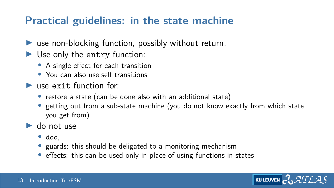## **Practical guidelines: in the state machine**

- $\blacktriangleright$  use non-blocking function, possibly without return,
- $\blacktriangleright$  Use only the entry function:
	- A single effect for each transition
	- You can also use self transitions
- $\blacktriangleright$  use exit function for:
	- restore a state (can be done also with an additional state)
	- getting out from a sub-state machine (you do not know exactly from which state you get from)
- $\blacktriangleright$  do not use
	- doo,
	- guards: this should be deligated to a monitoring mechanism
	- effects: this can be used only in place of using functions in states

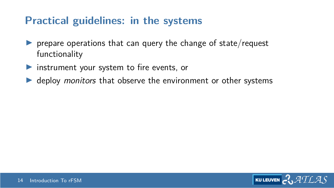#### **Practical guidelines: in the systems**

- $\triangleright$  prepare operations that can query the change of state/request functionality
- $\triangleright$  instrument your system to fire events, or
- $\blacktriangleright$  deploy *monitors* that observe the environment or other systems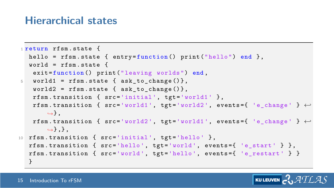#### **Hierarchical states**

```
1 return rfsm . state {
  hello = rfsm.state { entry = function() print("hello") end },
  world = rfsm state \{exit=function () print ("leaving worlds") end,
5 world1 = rfsm.state { ask to change () },
   world2 = rfsm.state { ask_to_change()},rfsm.transition { src='initial', tgt='world1' },
   rfsm.transition { src='world1', tgt='world2', events={ 'e_change' } ←
       ,→} ,
   rfsm . transition { src ='world2 ', tgt ='world1 ', events ={ 'e_change ' } ←-
       ,→} ,} ,
10 rfsm.transition { src='initial', tgt='hello' },
  rfsm.transition { src='hello', tgt='world', events = { 'e<sub>start</sub> ' } },
  rfsm.transition { src='world', tgt='hello', events={ 'e_restart' } }
  }
```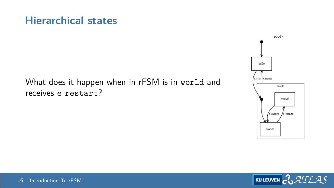#### **Hierarchical states**

#### What does it happen when in rFSM is in world and receives e restart?



$$
\begin{array}{|c|c|}\hline \textbf{KULEUVEN} & \textbf{C} & \textbf{ATLAS}\end{array}
$$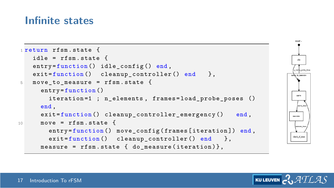#### **Infinite states**

```
1 return rfsm . state {
   idle = rfsm. state fentry = function() idle config () end.
   exit = function() cleanup_controller() end },
5 move_to_measure = rfsm . state {
     entry = function ()
        iteration=1 ; n_elements, frames=load_probe_poses ()
     end ,
     ext{=function ()} cleanup controller emergency () end,
10 move = rfsm{ state} {
        entry=function () move_config (frames [iteration]) end,
        ext{=function ()} cleanup controller () end },
     measure = rfsm.state { do_measure(iteration)},
```


$$
\boxed{\text{kuleven}} \text{C} \mathcal{A}\text{TLAS}
$$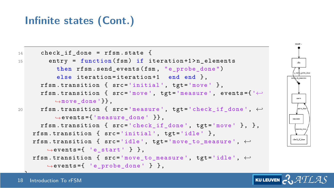## **Infinite states (Cont.)**

```
14 check if done = rfsm . state {
15 entry = function (fsm) if iteration +1>n_elements
           then rfsm. send events (fsm, "e_probe_done")
           else iteration=iteration+1 end end },
      rfsm.transition { src='initial', tgt='move' },
      rfsm . transition { src ='move ', tgt ='measure ', events ={ '←-
                                                                                more
          ,→move_done '}} ,
20 rfsm . transition { src ='measure ', tgt =' check_if_done ', ←-
          \rightarrowevents = [ 'measure done ' ]},
                                                                               measure
      rfsm.transition \{ src='check_if_done', tgt='move' \}, \},
                                                                                mascona das
   rfsm.transition { src='initial', tgt='idle' },
                                                                               check_if_done
   rfsm . transition { src ='idle ', tgt =' move_to_measure ', ←-
        ,→events ={ 'e_start ' } } ,
   rfsm . transition { src =' move_to_measure ', tgt ='idle ', ←-
        ,→events ={ ' e_probe_done ' } } ,
\mathbb{R}^3
```
root-

ATLAS

**KU LEUVEN**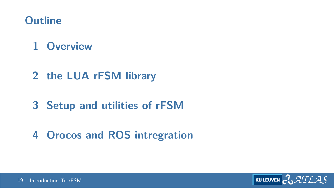## <span id="page-19-0"></span>**Outline**

# **[Overview](#page-1-0)**

- **[the LUA rFSM library](#page-10-0)**
- **[Setup and utilities of rFSM](#page-19-0)**
- **[Orocos and ROS intregration](#page-23-0)**

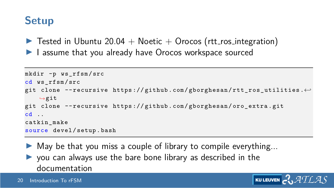## **Setup**

 $\triangleright$  Tested in Ubuntu 20.04 + Noetic + Orocos (rtt\_ros\_integration) I assume that you already have Orocos workspace sourced

```
mkdir -p ws_rfsm / src
cd ws rfsm/src
git clone -- recursive https :// github . com / gborghesan / rtt_ros_utilities .←-
    ,→git
git clone -- recursive https :// github . com / gborghesan / oro_extra . git
cd ..
catkin_make
source devel / setup . bash
```
**KU LEUVEN** 

 $\blacktriangleright$  May be that you miss a couple of library to compile everything...  $\triangleright$  you can always use the bare bone library as described in the documentation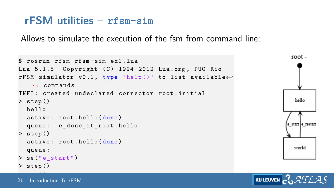#### **rFSM utilities – rfsm-sim**

Allows to simulate the execution of the fsm from command line;

```
root-
$ rosrun rfsm rfsm-sim e^{t} lua
Lua 5.1.5 Copyright (C) 1994-2012 Lua.org, PUC-Rio
rFSM simulator v0 .1 , type 'help () ' to list available←-
    ,→ commands
INFO : created undeclared connector root . initial
                                                                                 hello
> step ()
  hello
  active : root . hello ( done )
                                                                               e startle restart
  queue: e done at root . hello
> step ()
  active : root . hello ( done )
                                                                                world
  queue :
> se (" e_start ")
> step ()
```
world in 1970.<br>Waliofariki

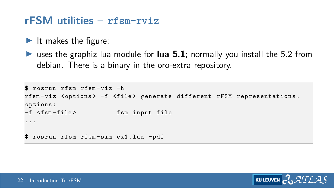#### **rFSM utilities – rfsm-rviz**

- It makes the figure;
- **If** uses the graphiz lua module for **lua 5.1**; normally you install the 5.2 from debian. There is a binary in the oro-extra repository.

```
$ rosrun rfsm rfsm - viz -h
rfsm - viz < options > -f < file > generate different rFSM representations .
options :
-f <fsm-file> fsm input file
...
$ rosrun rfsm rfsm - sim ex1 . lua - pdf
```
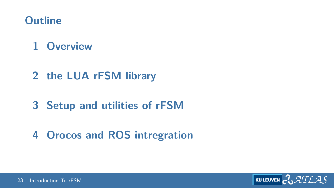## <span id="page-23-0"></span>**Outline**

# **[Overview](#page-1-0)**

- **[the LUA rFSM library](#page-10-0)**
- **[Setup and utilities of rFSM](#page-19-0)**
- **[Orocos and ROS intregration](#page-23-0)**

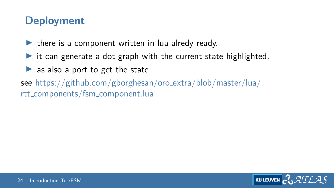#### **Deployment**

- $\blacktriangleright$  there is a component written in lua alredy ready.
- $\triangleright$  it can generate a dot graph with the current state highlighted.
- $\triangleright$  as also a port to get the state
- see [https://github.com/gborghesan/oro](https://github.com/gborghesan/oro_extra/blob/master/lua/rtt_components/fsm_component.lua) extra/blob/master/lua/ rtt [components/fsm](https://github.com/gborghesan/oro_extra/blob/master/lua/rtt_components/fsm_component.lua) component.lua

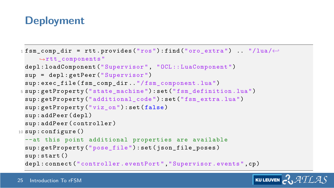## **Deployment**

```
1 fsm_comp_dir = rtt.provides ("ros"):find ("oro\_extra") .. */1ua/\leftarrow,→rtt_components "
 depl : loadComponent (" Supervisor ", "OCL :: LuaComponent ")
 sup = depl : getPeer (" Supervisor ")
  sup: exec_file ( fsm_comp_dir . "/ fsm_component . lua")
5 sup : getProperty (" state_machine ") : set (" fsm_definition .lua")
  sup: getProperty ("additional code") : set (" fsm_extra . lua")
 sup: getProperty ("viz_on") : set (false)
 sup : addPeer ( depl )
  sup : addPeer ( controller )
10 sup : configure ()
 --at this point additional properties are available
 sup: getProperty ("pose_file") : set ( json_file_poses )
 sup : start ()
 depl : connect (" controller . eventPort "," Supervisor . events ", cp )
```
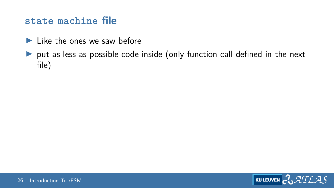#### **state machine file**

- $\blacktriangleright$  Like the ones we saw before
- $\triangleright$  put as less as possible code inside (only function call defined in the next file)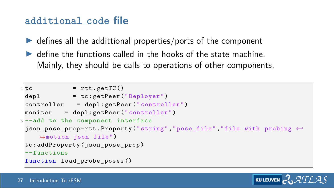#### **additional code file**

- $\triangleright$  defines all the addittional properties/ports of the component
- $\triangleright$  define the functions called in the hooks of the state machine. Mainly, they should be calls to operations of other components.

```
1 tc = rtt.getTC()
 depl = tc: getPeer("Deplover")controller = depl : getPeer (" controller ")
 monitor = depl : getPeer (" controller ")
5 --add to the component interface
 json_pose_prop = rtt . Property (" string "," pose_file "," file with probing ←-
    ,→motion json file ")
 tc : addProperty ( json_pose_prop )
 -- functions
 function load_probe_poses ()
```

$$
\text{Kuler} \sim \text{ATLAS}
$$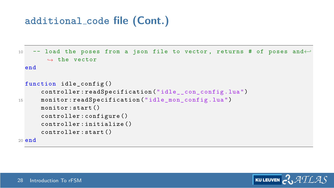#### **additional code file (Cont.)**

```
10 -- load the poses from a json file to vector , returns # of poses and←-
        ,→ the vector
 end
 function idle config ()
      controller : readSpecification (" idle__con_config . lua")
15 monitor : readSpecification (" idle_mon_config .lua")
      monitor : start ()
      controller : configure ()
      controller : initialize ()
      controller : start ()
20 end
```
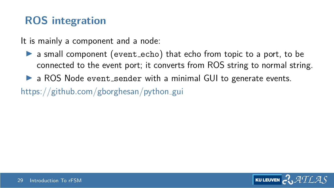## **ROS integration**

It is mainly a component and a node:

- $\triangleright$  a small component (event echo) that echo from topic to a port, to be connected to the event port; it converts from ROS string to normal string.
- $\triangleright$  a ROS Node event sender with a minimal GUI to generate events.

[https://github.com/gborghesan/python](https://github.com/gborghesan/python_gui)\_gui